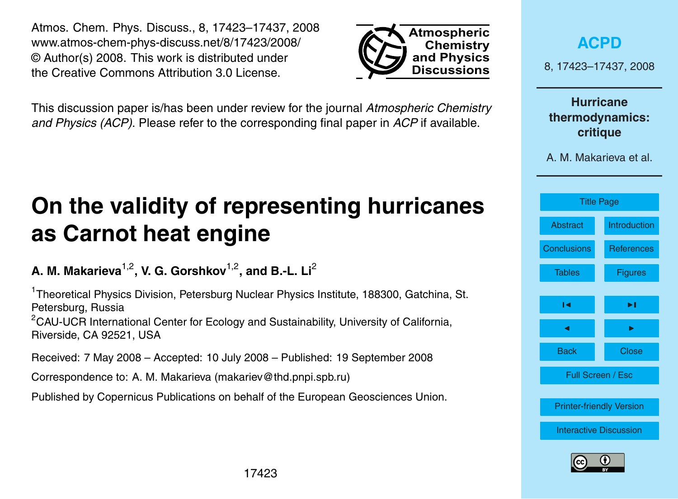17423

<span id="page-0-0"></span>Atmos. Chem. Phys. Discuss., 8, 17423–17437, 2008 www.atmos-chem-phys-discuss.net/8/17423/2008/ © Author(s) 2008. This work is distributed under the Creative Commons Attribution 3.0 License.

This discussion paper is/has been under review for the journal *Atmospheric Chemistry and Physics (ACP)*. Please refer to the corresponding final paper in *ACP* if available.

# **On the validity of representing hurricanes as Carnot heat engine**

**A. M. Makarieva**1,2**, V. G. Gorshkov**1,2**, and B.-L. Li**<sup>2</sup>

<sup>1</sup>Theoretical Physics Division, Petersburg Nuclear Physics Institute, 188300, Gatchina, St. Petersburg, Russia  $2$ CAU-UCR International Center for Ecology and Sustainability, University of California, Riverside, CA 92521, USA

Received: 7 May 2008 – Accepted: 10 July 2008 – Published: 19 September 2008

Correspondence to: A. M. Makarieva (makariev@thd.pnpi.spb.ru)

Published by Copernicus Publications on behalf of the European Geosciences Union.



**Atmospheric Chemistry and Physics Discussions**



[Printer-friendly Version](http://www.atmos-chem-phys-discuss.net/8/17423/2008/acpd-8-17423-2008-print.pdf)

[Interactive Discussion](http://www.atmos-chem-phys-discuss.net/8/17423/2008/acpd-8-17423-2008-discussion.html)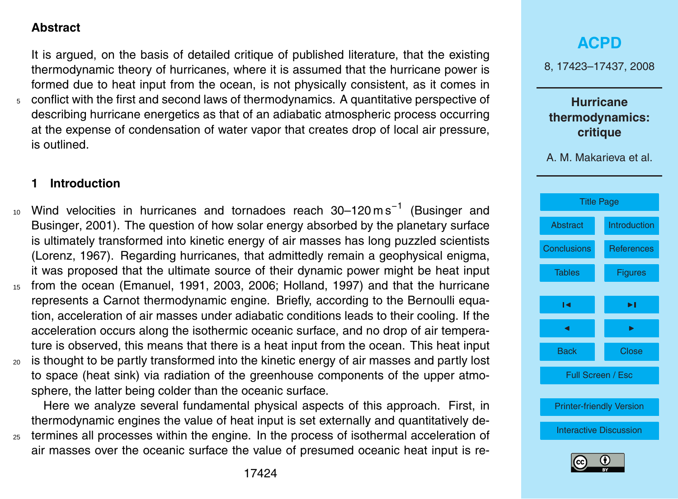### <span id="page-1-0"></span>**Abstract**

It is argued, on the basis of detailed critique of published literature, that the existing thermodynamic theory of hurricanes, where it is assumed that the hurricane power is formed due to heat input from the ocean, is not physically consistent, as it comes in

<sup>5</sup> conflict with the first and second laws of thermodynamics. A quantitative perspective of describing hurricane energetics as that of an adiabatic atmospheric process occurring at the expense of condensation of water vapor that creates drop of local air pressure, is outlined.

### **1 Introduction**

- 10 [W](#page-13-0)ind velocities in hurricanes and tornadoes reach 30–120ms<sup>-1</sup> [\(Businger and](#page-13-0) [Businger,](#page-13-0) [2001\)](#page-13-0). The question of how solar energy absorbed by the planetary surface is ultimately transformed into kinetic energy of air masses has long puzzled scientists [\(Lorenz,](#page-14-0) [1967\)](#page-14-0). Regarding hurricanes, that admittedly remain a geophysical enigma, it was proposed that the ultimate source of their dynamic power might be heat input <sup>15</sup> from the ocean [\(Emanuel,](#page-13-0) [1991,](#page-13-0) [2003,](#page-13-0) [2006;](#page-13-0) [Holland,](#page-14-0) [1997\)](#page-14-0) and that the hurricane represents a Carnot thermodynamic engine. Briefly, according to the Bernoulli equation, acceleration of air masses under adiabatic conditions leads to their cooling. If the acceleration occurs along the isothermic oceanic surface, and no drop of air temperature is observed, this means that there is a heat input from the ocean. This heat input
- <sup>20</sup> is thought to be partly transformed into the kinetic energy of air masses and partly lost to space (heat sink) via radiation of the greenhouse components of the upper atmosphere, the latter being colder than the oceanic surface.

Here we analyze several fundamental physical aspects of this approach. First, in thermodynamic engines the value of heat input is set externally and quantitatively de-

<sup>25</sup> termines all processes within the engine. In the process of isothermal acceleration of air masses over the oceanic surface the value of presumed oceanic heat input is re-

# **[ACPD](http://www.atmos-chem-phys-discuss.net)**

8, 17423–17437, 2008

**Hurricane thermodynamics: critique**



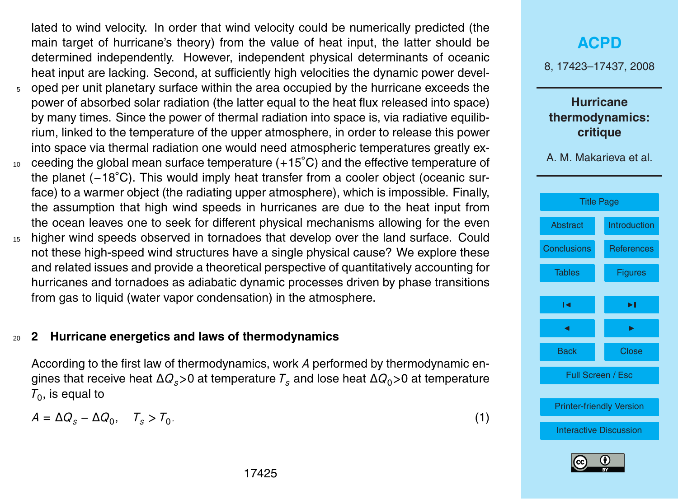<span id="page-2-0"></span>lated to wind velocity. In order that wind velocity could be numerically predicted (the main target of hurricane's theory) from the value of heat input, the latter should be determined independently. However, independent physical determinants of oceanic heat input are lacking. Second, at sufficiently high velocities the dynamic power devel-

- $5$  oped per unit planetary surface within the area occupied by the hurricane exceeds the power of absorbed solar radiation (the latter equal to the heat flux released into space) by many times. Since the power of thermal radiation into space is, via radiative equilibrium, linked to the temperature of the upper atmosphere, in order to release this power into space via thermal radiation one would need atmospheric temperatures greatly ex-
- 10 ceeding the global mean surface temperature (+15°C) and the effective temperature of the planet (−18◦C). This would imply heat transfer from a cooler object (oceanic surface) to a warmer object (the radiating upper atmosphere), which is impossible. Finally, the assumption that high wind speeds in hurricanes are due to the heat input from the ocean leaves one to seek for different physical mechanisms allowing for the even
- <sup>15</sup> higher wind speeds observed in tornadoes that develop over the land surface. Could not these high-speed wind structures have a single physical cause? We explore these and related issues and provide a theoretical perspective of quantitatively accounting for hurricanes and tornadoes as adiabatic dynamic processes driven by phase transitions from gas to liquid (water vapor condensation) in the atmosphere.

### <sup>20</sup> **2 Hurricane energetics and laws of thermodynamics**

According to the first law of thermodynamics, work *A* performed by thermodynamic engines that receive heat ∆*Qs>*0 at temperature *T<sup>s</sup>* and lose heat ∆*Q*0*>*0 at temperature  $\mathcal{T}_0$ , is equal to

$$
A = \Delta Q_s - \Delta Q_0, \quad T_s > T_0. \tag{1}
$$

# **[ACPD](http://www.atmos-chem-phys-discuss.net)**

8, 17423–17437, 2008

### **Hurricane thermodynamics: critique**



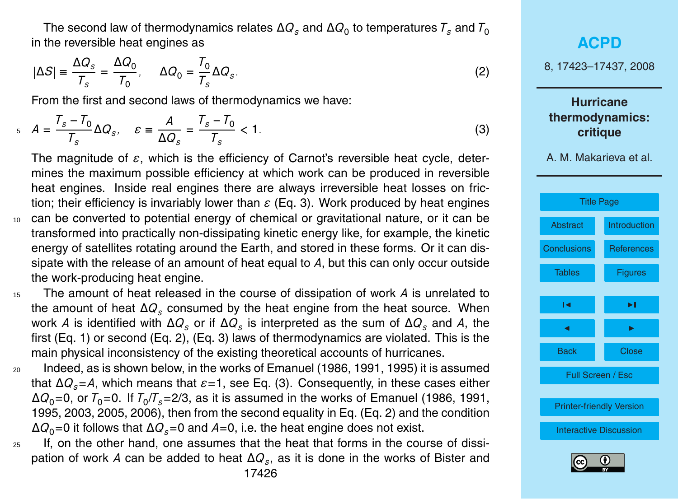<span id="page-3-0"></span>The second law of thermodynamics relates  $ΔQ_s$  and  $ΔQ_0$  to temperatures  $\mathcal{T}_s$  and  $\mathcal{T}_0$ in the reversible heat engines as

$$
|\Delta S| \equiv \frac{\Delta Q_s}{T_s} = \frac{\Delta Q_0}{T_0}, \qquad \Delta Q_0 = \frac{T_0}{T_s} \Delta Q_s. \tag{2}
$$

From the first and second laws of thermodynamics we have:

$$
A = \frac{T_s - T_0}{T_s} \Delta Q_s, \quad \varepsilon \equiv \frac{A}{\Delta Q_s} = \frac{T_s - T_0}{T_s} < 1. \tag{3}
$$

The magnitude of *ε*, which is the efficiency of Carnot's reversible heat cycle, determines the maximum possible efficiency at which work can be produced in reversible heat engines. Inside real engines there are always irreversible heat losses on friction; their efficiency is invariably lower than *ε* (Eq. 3). Work produced by heat engines <sup>10</sup> can be converted to potential energy of chemical or gravitational nature, or it can be transformed into practically non-dissipating kinetic energy like, for example, the kinetic energy of satellites rotating around the Earth, and stored in these forms. Or it can dissipate with the release of an amount of heat equal to *A*, but this can only occur outside the work-producing heat engine.

<sup>15</sup> The amount of heat released in the course of dissipation of work *A* is unrelated to the amount of heat ∆*Q<sup>s</sup>* consumed by the heat engine from the heat source. When work *A* is identified with ∆*Q<sup>s</sup>* or if ∆*Q<sup>s</sup>* is interpreted as the sum of ∆*Q<sup>s</sup>* and *A*, the first (Eq. [1\)](#page-2-0) or second (Eq. 2), (Eq. 3) laws of thermodynamics are violated. This is the main physical inconsistency of the existing theoretical accounts of hurricanes.

<sup>20</sup> Indeed, as is shown below, in the works of [Emanuel](#page-13-0) [\(1986,](#page-13-0) [1991,](#page-13-0) [1995\)](#page-13-0) it is assumed that ∆*Qs*=*A*, which means that *ε*=1, see Eq. (3). Consequently, in these cases either  $\Delta Q_{0}$ =0, or  ${\cal T}_{0}$ =0. If  ${\cal T}_{0}/{\cal T}_{s}$ =2/3, as it is assumed in the works of [Emanuel](#page-13-0) [\(1986,](#page-13-0) [1991,](#page-13-0) [1995,](#page-13-0) [2003,](#page-13-0) [2005,](#page-13-0) [2006\)](#page-13-0), then from the second equality in Eq. (Eq. 2) and the condition  $\Delta Q_0$ =0 it follows that  $\Delta Q_s$ =0 and *A*=0, i.e. the heat engine does not exist.

<sup>25</sup> If, on the other hand, one assumes that the heat that forms in the course of dissi[p](#page-13-0)ation of work *A* can be added to heat ∆*Q<sup>s</sup>* , as it is done in the works of [Bister and](#page-13-0)



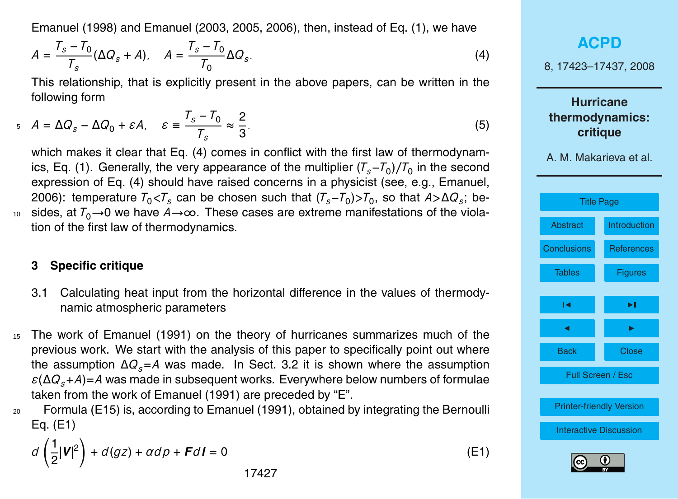<span id="page-4-0"></span>[Emanuel](#page-13-0) [\(1998\)](#page-13-0) and [Emanuel](#page-13-0) [\(2003,](#page-13-0) [2005,](#page-13-0) [2006\), then, instead of Eq.](#page-13-0) [\(1\)](#page-2-0)[, we have](#page-13-0)

$$
A = \frac{T_s - T_0}{T_s} (\Delta Q_s + A), \quad A = \frac{T_s - T_0}{T_0} \Delta Q_s.
$$
 (4)

This rel[at](#page-13-0)ionship, that is explicitly present in the above papers, can be written in the following form

$$
A = \Delta Q_s - \Delta Q_0 + \varepsilon A, \quad \varepsilon \equiv \frac{T_s - T_0}{T_s} \approx \frac{2}{3}.
$$
 (5)

which makes it clear that Eq. (4) comes in conflict with the first law of thermodynam-ics, Eq. [\(1\)](#page-2-0). Generally, the very appearance of the multiplier  $(T_s-T_0)/T_0$  in the second expression of Eq. (4) should have raised concerns in a physicist (see, e.g., [Emanuel,](#page-13-0) [2006\)](#page-13-0): temperature  $T_0$ < $T_s$  can be chosen such that  $(T_s-T_0)$ > $T_0$ , so that  $A$ > $\Delta Q_s$ ; be-

<sup>10</sup> sides, at  $T_0 \rightarrow 0$  we have  $A \rightarrow \infty$ . These cases are extreme manifestations of the violation of the first law of thermodynamics.

#### **3 Specific critique**

- 3.1 Calculating heat input from the horizontal difference in the values of thermodynamic atmospheric parameters
- <sup>15</sup> The work of [Emanuel](#page-13-0) [\(1991\)](#page-13-0) on the theory of hurricanes summarizes much of the previous work. We start with the analysis of this paper to specifically point out where the assumption ∆*Qs*=*A* was made. In Sect. 3.2 it is shown where the assumption  $\epsilon(\Delta Q_s+A)=A$  was made in subsequent works. Everywhere below numbers of formulae taken from the work of [Emanuel](#page-13-0) [\(1991\)](#page-13-0) are preceded by "E".
- <sup>20</sup> Formula (E15) is, according to [Emanuel](#page-13-0) [\(1991\)](#page-13-0), obtained by integrating the Bernoulli Eq. (E1)

$$
d\left(\frac{1}{2}|\mathbf{V}|^2\right) + d(gz) + \alpha d\rho + \mathbf{F}d\mathbf{I} = 0
$$
 (E1)

**[ACPD](http://www.atmos-chem-phys-discuss.net)** 8, 17423–17437, 2008 **Hurricane thermodynamics: critique** A. M. Makarieva et al. [Title Page](#page-0-0) [Abstract](#page-1-0) [Introduction](#page-1-0) [Conclusions](#page-11-0) [References](#page-13-0) Tables Figures  $\sim$  J  $\sim$ **J** I I I I Back Close Full Screen / Esc [Printer-friendly Version](http://www.atmos-chem-phys-discuss.net/8/17423/2008/acpd-8-17423-2008-print.pdf) [Interactive Discussion](http://www.atmos-chem-phys-discuss.net/8/17423/2008/acpd-8-17423-2008-discussion.html)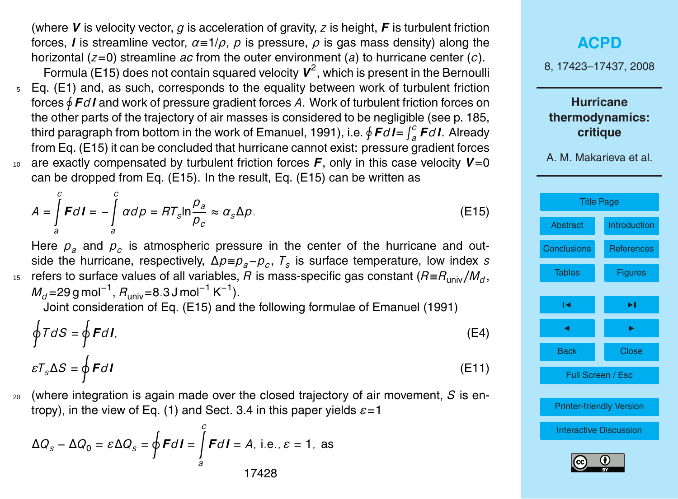(where *V* is velocity vector, *g* is acceleration of gravity, *z* is height, *F* is turbulent friction forces, *l* is streamline vector, *α*≡1/*ρ*, *p* is pressure, *ρ* is gas mass density) along the horizontal (*z*=0) streamline *ac* from the outer environment (*a*) to hurricane center (*c*). Formula (E15) does not contain squared velocity  $V^2$ , which is present in the Bernoulli

- <sup>5</sup> Eq. (E1) and, as such, corresponds to the equality between work of turbulent friction forces  $\oint$  *Fd* **l** and work of pressure gradient forces A. Work of turbulent friction forces on the other parts of the trajectory of air masses is considered to be negligible (see p. 185, third paragraph from bottom in the work of Emanuel, 1991), i.e.  $\oint \bm{F} d\bm{l} = \int_a^c \bm{F} d\bm{l}$ . Already from Eq. (E15) it can be concluded that hurricane cannot exist: pressure gradient forces <sup>10</sup> are exactly compensated by turbulent friction forces *F*, only in this case velocity *V*=0
- can be dropped from Eq. (E15). In the result, Eq. (E15) can be written as

$$
A = \int_{a}^{c} F dI = -\int_{a}^{c} \alpha d\rho = RT_{s} \ln \frac{p_{a}}{p_{c}} \approx \alpha_{s} \Delta \rho.
$$
 (E15)

Here  $p_a$  and  $p_c$  is atmospheric pressure in the center of the hurricane and outside the hurricane, respectively, ∆*p*≡*pa*−*p<sup>c</sup>* , *T<sup>s</sup>* is surface temperature, low index *s* refers to surface values of all variables, *R* is mass-specific gas constant (*R*≡*R*univ*/M<sup>d</sup>* <sup>15</sup> ,

*M<sub>d</sub>*=29 g mol<sup>−1</sup>, *R*<sub>univ</sub>=8.3 J mol<sup>−1</sup> K<sup>−1</sup>).

Z*c*

Joint consideration of Eq. (E15) and the following formulae of Emanuel (1991)

$$
\oint T dS = \oint F dI,\tag{E4}
$$

$$
\varepsilon T_s \Delta S = \oint F dI \tag{E11}
$$

<sup>20</sup> (where integration is again made over the closed trajectory of air movement, *S* is entropy), in the view of Eq. [\(1\)](#page-2-0) and Sect. 3.4 in this paper yields *ε*=1

$$
\Delta Q_{s} - \Delta Q_{0} = \varepsilon \Delta Q_{s} = \oint F dI = \int_{a}^{c} F dI = A, \text{ i.e., } \varepsilon = 1, \text{ as}
$$

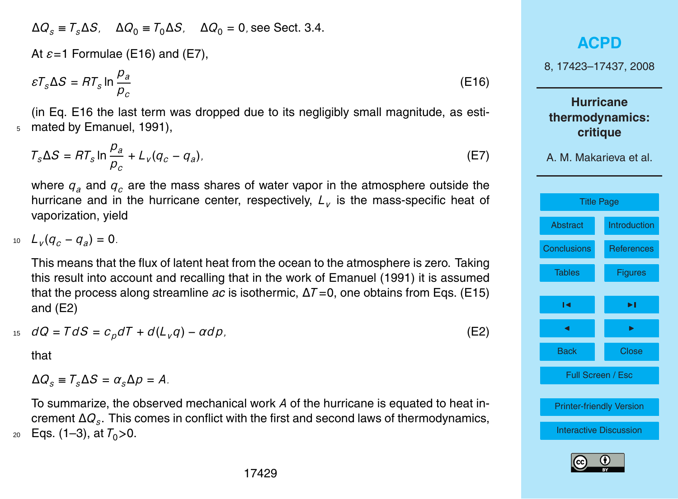<span id="page-6-0"></span> $\Delta Q_s$  =  $T_s \Delta S$ ,  $\Delta Q_0$  =  $T_0 \Delta S$ ,  $\Delta Q_0$  = 0, see Sect. 3.4.

At *ε*=1 Formulae (E16) and (E7),

$$
\varepsilon T_s \Delta S = RT_s \ln \frac{p_a}{p_c} \tag{E16}
$$

(in Eq. E16 the last term was dropped due to its negligibly small magnitude, as esti-<sup>5</sup> mated by [Emanuel,](#page-13-0) [1991\)](#page-13-0),

$$
T_s \Delta S = RT_s \ln \frac{p_a}{p_c} + L_v (q_c - q_a). \tag{E7}
$$

where  $q_a$  and  $q_c$  are the mass shares of water vapor in the atmosphere outside the hurricane and in the hurricane center, respectively, *L<sup>v</sup>* is the mass-specific heat of vaporization, yield

*L*<sub>*v*</sub></sub> $(q_c - q_a) = 0$ *.* 

This means that the flux of latent heat from the ocean to the atmosphere is zero. Taking this result into account and recalling that in the work of [Emanuel](#page-13-0) [\(1991\)](#page-13-0) it is assumed that the process along streamline *ac* is isothermic, ∆*T* =0, one obtains from Eqs. (E15) and (E2)

$$
dQ = T dS = c_p dT + d(L_v q) - \alpha d\rho, \tag{E2}
$$

that

$$
\Delta Q_s \equiv T_s \Delta S = \alpha_s \Delta p = A.
$$

To summarize, the observed mechanical work *A* of the hurricane is equated to heat increment ∆*Q<sup>s</sup>* . This comes in conflict with the first and second laws of thermodynamics,  $20$  Eqs. [\(1–](#page-2-0)[3\)](#page-3-0), at  $T_0 > 0$ .

### **[ACPD](http://www.atmos-chem-phys-discuss.net)**

8, 17423–17437, 2008

**Hurricane thermodynamics: critique**



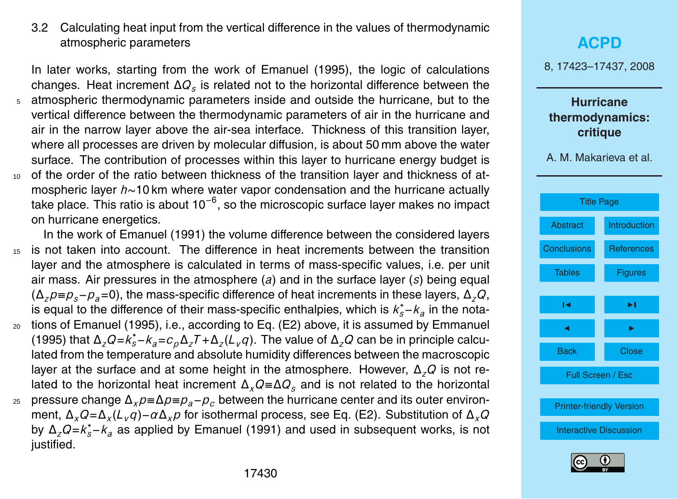### <span id="page-7-0"></span>3.2 Calculating heat input from the vertical difference in the values of thermodynamic atmospheric parameters

In later works, starting from the work of [Emanuel](#page-13-0) [\(1995\)](#page-13-0), the logic of calculations changes. Heat increment ∆*Q<sup>s</sup>* is related not to the horizontal difference between the atmospheric thermodynamic parameters inside and outside the hurricane, but to the vertical difference between the thermodynamic parameters of air in the hurricane and air in the narrow layer above the air-sea interface. Thickness of this transition layer, where all processes are driven by molecular diffusion, is about 50 mm above the water surface. The contribution of processes within this layer to hurricane energy budget is 10 of the order of the ratio between thickness of the transition layer and thickness of atmospheric layer *h*∼10 km where water vapor condensation and the hurricane actually

- take place. This ratio is about 10<sup>-6</sup>, so the microscopic surface layer makes no impact on hurricane energetics.
- In the work of [Emanuel](#page-13-0) [\(1991\)](#page-13-0) the volume difference between the considered layers <sup>15</sup> is not taken into account. The difference in heat increments between the transition layer and the atmosphere is calculated in terms of mass-specific values, i.e. per unit air mass. Air pressures in the atmosphere (*a*) and in the surface layer (*s*) being equal (∆*zp*≡*ps*−*pa*=0), the mass-specific difference of heat increments in these layers, ∆*zQ*, is equal to the difference of their mass-specific enthalpies, which is  $k_s^* − k_a$  in the nota-<sup>20</sup> tions of Emanuel (1995), i.e., according to Eq. (E2) above, it is assumed by Emmanuel (1995) that  $\Delta_z Q = k_s^* - k_a = c_p \Delta_z T + \Delta_z (L_v q)$ . The value of  $\Delta_z Q$  can be in principle calculated from the temperature and absolute humidity differences between the macroscopic layer at the surface and at some height in the atmosphere. However, ∆*zQ* is not related to the horizontal heat increment ∆*xQ*≡∆*Q<sup>s</sup>* and is not related to the horizontal <sup>25</sup> pressure change ∆*xp*≡∆*p*≡*pa*−*p<sup>c</sup>* between the hurricane center and its outer environ-
- ment, ∆*xQ*=∆*<sup>x</sup>* (*Lvq*)−*α*∆*xp* for isothermal process, see Eq. (E2). Substitution of ∆*xQ* by ∆*zQ*=*k* ∗ *<sup>s</sup>*−*k<sup>a</sup>* as applied by [Emanuel](#page-13-0) [\(1991\)](#page-13-0) and used in subsequent works, is not justified.

# **[ACPD](http://www.atmos-chem-phys-discuss.net)** 8, 17423–17437, 2008 **Hurricane thermodynamics: critique** A. M. Makarieva et al. [Title Page](#page-0-0) [Abstract](#page-1-0) [Introduction](#page-1-0) [Conclusions](#page-11-0) [References](#page-13-0) Tables Figures  $\sim$  J  $\sim$ **J** I I I I Back Close Full Screen / Esc [Printer-friendly Version](http://www.atmos-chem-phys-discuss.net/8/17423/2008/acpd-8-17423-2008-print.pdf) [Interactive Discussion](http://www.atmos-chem-phys-discuss.net/8/17423/2008/acpd-8-17423-2008-discussion.html)

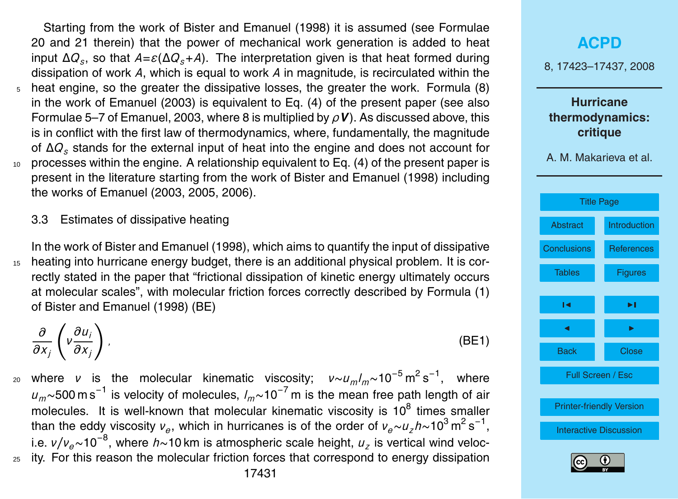<span id="page-8-0"></span>Starting from the work of [Bister and Emanuel](#page-13-0) [\(1998\)](#page-13-0) it is assumed (see Formulae 20 and 21 therein) that the power of mechanical work generation is added to heat input ∆*Q<sup>s</sup>* , so that *A*=*ε*(∆*Qs*+*A*). The interpretation given is that heat formed during dissipation of work *A*, which is equal to work *A* in magnitude, is recirculated within the <sup>5</sup> heat engine, so the greater the dissipative losses, the greater the work. Formula (8) in the work of [Emanuel](#page-13-0) [\(2003\)](#page-13-0) is equivalent to Eq. (4) of the present paper (see also Formulae 5–7 of [Emanuel,](#page-13-0) [2003,](#page-13-0) where 8 is multiplied by *ρV*). As discussed above, this is in conflict with the first law of thermodynamics, where, fundamentally, the magnitude of ∆*Q<sup>s</sup>* stands for the external input of heat into the engine and does not account for  $10<sub>10</sub>$  processes within the engine. A relationship equivalent to Eq. (4) of the present paper is present in the literature starting from the work of [Bister and Emanuel](#page-13-0) [\(1998\)](#page-13-0) including the works of [Emanuel](#page-13-0) [\(2003,](#page-13-0) [2005,](#page-13-0) [2006\)](#page-13-0).

3.3 Estimates of dissipative heating

In the work of [Bister and Emanuel](#page-13-0) [\(1998\)](#page-13-0), which aims to quantify the input of dissipative <sup>15</sup> heating into hurricane energy budget, there is an additional physical problem. It is correctly stated in the paper that "frictional dissipation of kinetic energy ultimately occurs at molecular scales", with molecular friction forces correctly described by Formula (1) of Bister and Emanuel (1998) (BE)

*∂ ∂x<sup>j</sup>*  $\sqrt{ }$ *ν ∂u<sup>i</sup> ∂x<sup>j</sup>*  $\setminus$ *,* (BE1)

where *<sup>ν</sup>* is the molecular kinematic viscosity; *<sup>ν</sup>*∼*umlm*∼10−<sup>5</sup> <sup>m</sup> 2 s −1 <sup>20</sup> , where *<sup>u</sup>m*∼500 m s−<sup>1</sup> is velocity of molecules, *<sup>l</sup>m*∼10−<sup>7</sup> m is the mean free path length of air molecules. It is well-known that molecular kinematic viscosity is 10 $^8$  times smaller than the eddy viscosity *ν<sub>e</sub>*, which in hurricanes is of the order of *ν<sub>e</sub>∼u<sub>z</sub>h*∼10<sup>3</sup> m<sup>2</sup> s<sup>-1</sup>, i.e. *ν/νe*∼10−<sup>8</sup> , where *h*∼10 km is atmospheric scale height, *u<sup>z</sup>* is vertical wind veloc-<sup>25</sup> ity. For this reason the molecular friction forces that correspond to energy dissipation

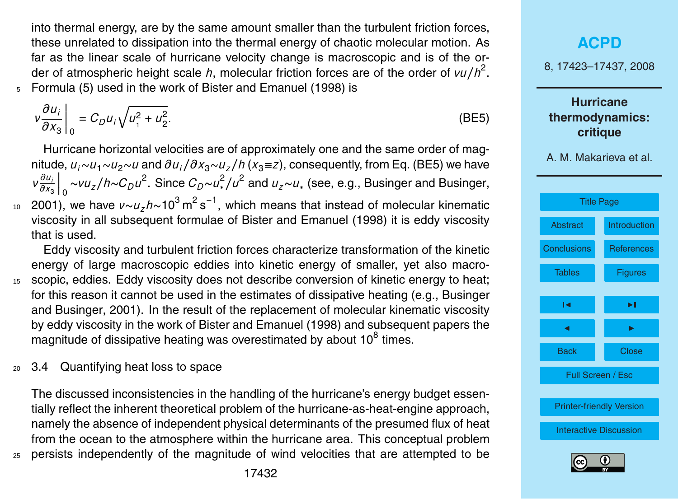<span id="page-9-0"></span>into thermal energy, are by the same amount smaller than the turbulent friction forces, these unrelated to dissipation into the thermal energy of chaotic molecular motion. As far as the linear scale of hurricane velocity change is macroscopic and is of the order of atmospheric height scale *h*, molecular friction forces are of the order of *νu* / *h*<sup>2</sup>. <sup>5</sup> Formula (5) used in the work of [Bister and Emanuel](#page-13-0) [\(1998\)](#page-13-0) is

$$
v\frac{\partial u_i}{\partial x_3}\bigg|_0 = C_D u_i \sqrt{u_1^2 + u_2^2}.
$$
 (BE5)

Hurricane horizontal velocities are of approximately one and the same order of magnitude, *ui*∼*u*1∼*u*2∼*u* and *∂ui/∂x*3∼*uz/h* (*x*3≡*z*), consequently, from Eq. (BE5) we have *ν ∂u<sup>i</sup> ∂x*<sup>3</sup>  $\int_0$  ∼*νu<sub>z</sub>*/*h*∼*C<sub>D</sub>u*<sup>2</sup>. Since *C<sub>D</sub>*∼*u*<sup>2</sup>/*u*<sup>2</sup> and *u<sub>z</sub>*∼*u*<sub>∗</sub> (see, e.g., [Businger and Businger,](#page-13-0)

<sup>10</sup> [2001\)](#page-13-0), we have *ν∼u<sub>z</sub>h*∼10<sup>3</sup> m<sup>2</sup> s<sup>−1</sup>, which means that instead of molecular kinematic viscosity in all subsequent formulae of [Bister and Emanuel](#page-13-0) [\(1998\)](#page-13-0) it is eddy viscosity that is used.

Eddy viscosity and turbulent friction forces characterize transformation of the kinetic energy of large macroscopic eddies into kinetic energy of smaller, yet also macro-<sup>15</sup> scopic, eddies. Eddy viscosity does not describe conversion of kinetic energy to heat; [f](#page-13-0)or this reason it cannot be used in the estimates of dissipative heating (e.g., [Businger](#page-13-0) [and Businger,](#page-13-0) [2001\)](#page-13-0). In the result of the replacement of molecular kinematic viscosity by eddy viscosity in the work of [Bister and Emanuel](#page-13-0) [\(1998\)](#page-13-0) and subsequent papers the magnitude of dissipative heating was overestimated by about 10 $^8$  times.

<sup>20</sup> 3.4 Quantifying heat loss to space

The discussed inconsistencies in the handling of the hurricane's energy budget essentially reflect the inherent theoretical problem of the hurricane-as-heat-engine approach, namely the absence of independent physical determinants of the presumed flux of heat from the ocean to the atmosphere within the hurricane area. This conceptual problem <sup>25</sup> persists independently of the magnitude of wind velocities that are attempted to be

# **[ACPD](http://www.atmos-chem-phys-discuss.net)** 8, 17423–17437, 2008 **Hurricane thermodynamics: critique** A. M. Makarieva et al. [Title Page](#page-0-0) [Abstract](#page-1-0) [Introduction](#page-1-0) [Conclusions](#page-11-0) [References](#page-13-0) Tables **Figures**  $\sim$  J  $\sim$ **J** I I I I Back Close Full Screen / Esc [Printer-friendly Version](http://www.atmos-chem-phys-discuss.net/8/17423/2008/acpd-8-17423-2008-print.pdf) [Interactive Discussion](http://www.atmos-chem-phys-discuss.net/8/17423/2008/acpd-8-17423-2008-discussion.html)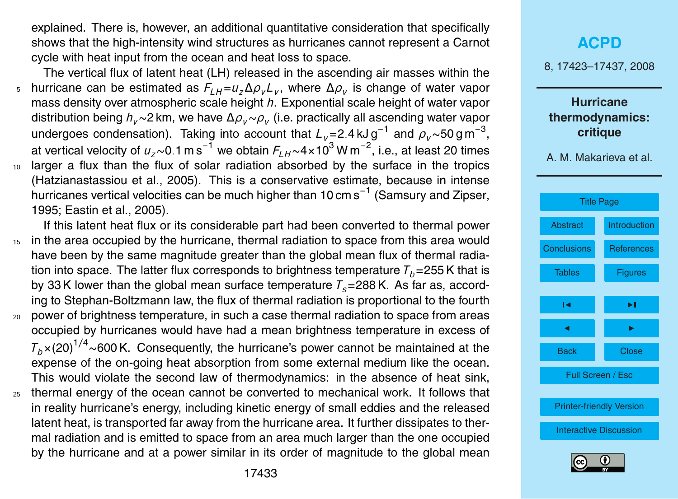<span id="page-10-0"></span>explained. There is, however, an additional quantitative consideration that specifically shows that the high-intensity wind structures as hurricanes cannot represent a Carnot cycle with heat input from the ocean and heat loss to space.

The vertical flux of latent heat (LH) released in the ascending air masses within the hurricane can be estimated as *FLH*=*uz*∆*ρvL<sup>v</sup>* , where ∆*ρ<sup>v</sup>* <sup>5</sup> is change of water vapor mass density over atmospheric scale height *h*. Exponential scale height of water vapor distribution being *hv*∼2 km, we have ∆*ρv*∼*ρ<sup>v</sup>* (i.e. practically all ascending water vapor undergoes condensation). Taking into account that *<sup>L</sup>v*=2*.*4 kJ g−<sup>1</sup> and *<sup>ρ</sup>v*∼50 g m−<sup>3</sup> , at vertical velocity of *<sup>u</sup>z*∼0*.*1 m s−<sup>1</sup> we obtain *<sup>F</sup>LH*∼4×10<sup>3</sup> W m−<sup>2</sup> , i.e., at least 20 times <sup>10</sup> larger a flux than the flux of solar radiation absorbed by the surface in the tropics [\(Hatzianastassiou et al.,](#page-13-0) [2005\)](#page-13-0). This is a conservative estimate, because in intense hurricanes vertical velocities can be much higher than 10 cm s<sup>-1</sup> [\(Samsury and Zipser,](#page-14-0) [1995;](#page-14-0) [Eastin et al.,](#page-13-0) [2005\)](#page-13-0).

- If this latent heat flux or its considerable part had been converted to thermal power <sup>15</sup> in the area occupied by the hurricane, thermal radiation to space from this area would have been by the same magnitude greater than the global mean flux of thermal radiation into space. The latter flux corresponds to brightness temperature  $T_b$ =255 K that is by 33 K lower than the global mean surface temperature  $T_s = 288$  K. As far as, according to Stephan-Boltzmann law, the flux of thermal radiation is proportional to the fourth <sup>20</sup> power of brightness temperature, in such a case thermal radiation to space from areas occupied by hurricanes would have had a mean brightness temperature in excess of  $T<sub>b</sub>×(20)<sup>1/4</sup>~600 K$ . Consequently, the hurricane's power cannot be maintained at the expense of the on-going heat absorption from some external medium like the ocean. This would violate the second law of thermodynamics: in the absence of heat sink,
- <sup>25</sup> thermal energy of the ocean cannot be converted to mechanical work. It follows that in reality hurricane's energy, including kinetic energy of small eddies and the released latent heat, is transported far away from the hurricane area. It further dissipates to thermal radiation and is emitted to space from an area much larger than the one occupied by the hurricane and at a power similar in its order of magnitude to the global mean



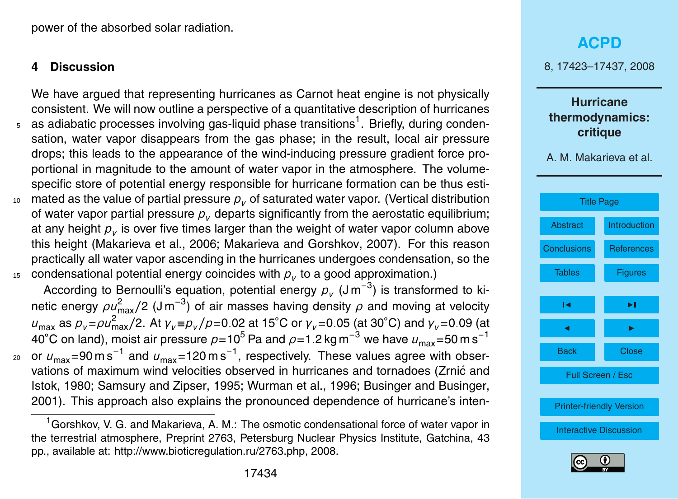<span id="page-11-0"></span>power of the absorbed solar radiation.

#### **4 Discussion**

We have argued that representing hurricanes as Carnot heat engine is not physically consistent. We will now outline a perspective of a quantitative description of hurricanes  $_5$  as adiabatic processes involving gas-liquid phase transitions<sup>1</sup>. Briefly, during condensation, water vapor disappears from the gas phase; in the result, local air pressure drops; this leads to the appearance of the wind-inducing pressure gradient force proportional in magnitude to the amount of water vapor in the atmosphere. The volumespecific store of potential energy responsible for hurricane formation can be thus esti-<sup>10</sup> mated as the value of partial pressure *p<sup>v</sup>* of saturated water vapor. (Vertical distribution of water vapor partial pressure  $p<sub>v</sub>$  departs significantly from the aerostatic equilibrium; at any height  $\rho_{_V}$  is over five times larger than the weight of water vapor column above this height [\(Makarieva et al.,](#page-14-0) [2006;](#page-14-0) [Makarieva and Gorshkov,](#page-14-0) [2007\)](#page-14-0). For this reason practically all water vapor ascending in the hurricanes undergoes condensation, so the  $_{15}$  condensational potential energy coincides with  $\rho_{_V}$  to a good approximation.)

According to Bernoulli's equation, potential energy  $p_{v}$  (Jm<sup>-3</sup>) is transformed to kinetic energy  $\rho\mu_{\rm max}^2/2$  (J m<sup>−3</sup>) of air masses having density  $\rho$  and moving at velocity  $u_{\text{max}}$  as  $p_v = ρ u_{\text{max}}^2/2$ . At  $γ_v ≡ p_v / ρ = 0.02$  at 15˚C or  $γ_v = 0.05$  (at 30˚C) and  $γ_v = 0.09$  (at 40<sup>°</sup>C on land), moist air pressure  $p=10^5$  Pa and  $\rho=1.2$  kg m<sup>-3</sup> we have  $u_{\rm max}=50$  m s<sup>-1</sup> <sub>20</sub> or  $\rm \textit{u}_{max}$ =90 m s<sup>−1</sup> and  $\rm \textit{u}_{max}$ =120 m s<sup>−1</sup>, respectively. These values agree with obser[v](#page-14-0)ations of maximum wind velocities observed in hurricanes and tornadoes [\(Zrnic and](#page-14-0) ´ [Istok,](#page-14-0) [1980;](#page-14-0) [Samsury and Zipser,](#page-14-0) [1995;](#page-14-0) [Wurman et al.,](#page-14-0) [1996;](#page-14-0) [Businger and Businger,](#page-13-0) [2001\)](#page-13-0). This approach also explains the pronounced dependence of hurricane's inten-

### **[ACPD](http://www.atmos-chem-phys-discuss.net)**

8, 17423–17437, 2008

### **Hurricane thermodynamics: critique**





 $1<sup>1</sup>$  Gorshkov, V. G. and Makarieva, A. M.: The osmotic condensational force of water vapor in the terrestrial atmosphere, Preprint 2763, Petersburg Nuclear Physics Institute, Gatchina, 43 pp., available at: [http://www.bioticregulation.ru/2763.php,](http://www.bioticregulation.ru/2763.php) 2008.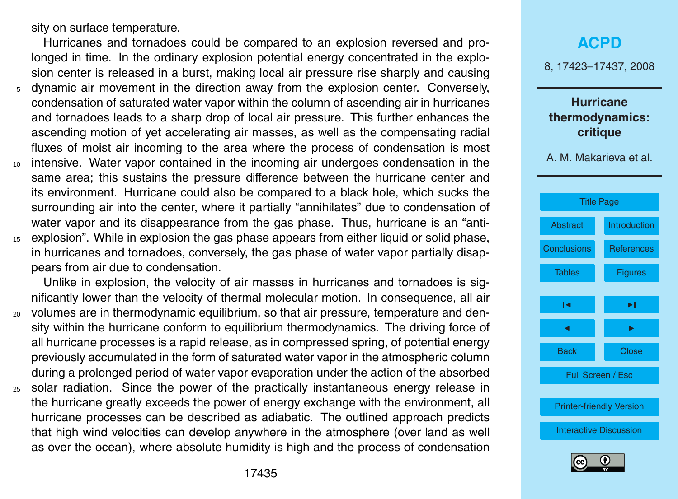sity on surface temperature.

Hurricanes and tornadoes could be compared to an explosion reversed and prolonged in time. In the ordinary explosion potential energy concentrated in the explosion center is released in a burst, making local air pressure rise sharply and causing <sup>5</sup> dynamic air movement in the direction away from the explosion center. Conversely, condensation of saturated water vapor within the column of ascending air in hurricanes and tornadoes leads to a sharp drop of local air pressure. This further enhances the ascending motion of yet accelerating air masses, as well as the compensating radial fluxes of moist air incoming to the area where the process of condensation is most <sup>10</sup> intensive. Water vapor contained in the incoming air undergoes condensation in the same area; this sustains the pressure difference between the hurricane center and its environment. Hurricane could also be compared to a black hole, which sucks the

surrounding air into the center, where it partially "annihilates" due to condensation of water vapor and its disappearance from the gas phase. Thus, hurricane is an "anti-<sup>15</sup> explosion". While in explosion the gas phase appears from either liquid or solid phase, in hurricanes and tornadoes, conversely, the gas phase of water vapor partially disappears from air due to condensation.

Unlike in explosion, the velocity of air masses in hurricanes and tornadoes is significantly lower than the velocity of thermal molecular motion. In consequence, all air <sup>20</sup> volumes are in thermodynamic equilibrium, so that air pressure, temperature and density within the hurricane conform to equilibrium thermodynamics. The driving force of all hurricane processes is a rapid release, as in compressed spring, of potential energy previously accumulated in the form of saturated water vapor in the atmospheric column during a prolonged period of water vapor evaporation under the action of the absorbed

<sup>25</sup> solar radiation. Since the power of the practically instantaneous energy release in the hurricane greatly exceeds the power of energy exchange with the environment, all hurricane processes can be described as adiabatic. The outlined approach predicts that high wind velocities can develop anywhere in the atmosphere (over land as well as over the ocean), where absolute humidity is high and the process of condensation

### **[ACPD](http://www.atmos-chem-phys-discuss.net)**

8, 17423–17437, 2008

### **Hurricane thermodynamics: critique**



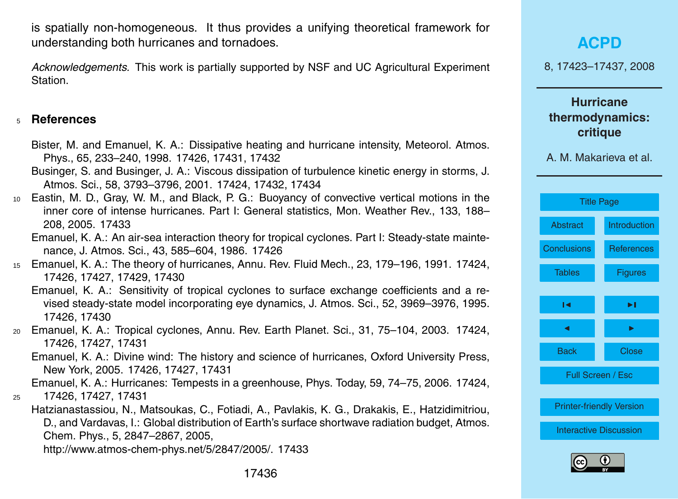<span id="page-13-0"></span>is spatially non-homogeneous. It thus provides a unifying theoretical framework for understanding both hurricanes and tornadoes.

*Acknowledgements.* This work is partially supported by NSF and UC Agricultural Experiment Station.

#### <sup>5</sup> **References**

- Bister, M. and Emanuel, K. A.: Dissipative heating and hurricane intensity, Meteorol. Atmos. Phys., 65, 233–240, 1998. [17426,](#page-3-0) [17431,](#page-8-0) [17432](#page-9-0)
- Businger, S. and Businger, J. A.: Viscous dissipation of turbulence kinetic energy in storms, J. Atmos. Sci., 58, 3793–3796, 2001. [17424,](#page-1-0) [17432,](#page-9-0) [17434](#page-11-0)
- <sup>10</sup> Eastin, M. D., Gray, W. M., and Black, P. G.: Buoyancy of convective vertical motions in the inner core of intense hurricanes. Part I: General statistics, Mon. Weather Rev., 133, 188– 208, 2005. [17433](#page-10-0)
	- Emanuel, K. A.: An air-sea interaction theory for tropical cyclones. Part I: Steady-state maintenance, J. Atmos. Sci., 43, 585–604, 1986. [17426](#page-3-0)
- <sup>15</sup> Emanuel, K. A.: The theory of hurricanes, Annu. Rev. Fluid Mech., 23, 179–196, 1991. [17424,](#page-1-0) [17426,](#page-3-0) [17427,](#page-4-0) [17429,](#page-6-0) [17430](#page-7-0)
	- Emanuel, K. A.: Sensitivity of tropical cyclones to surface exchange coefficients and a revised steady-state model incorporating eye dynamics, J. Atmos. Sci., 52, 3969–3976, 1995. [17426,](#page-3-0) [17430](#page-7-0)
- <sup>20</sup> Emanuel, K. A.: Tropical cyclones, Annu. Rev. Earth Planet. Sci., 31, 75–104, 2003. [17424,](#page-1-0) [17426,](#page-3-0) [17427,](#page-4-0) [17431](#page-8-0)
	- Emanuel, K. A.: Divine wind: The history and science of hurricanes, Oxford University Press, New York, 2005. [17426,](#page-3-0) [17427,](#page-4-0) [17431](#page-8-0)

Emanuel, K. A.: Hurricanes: Tempests in a greenhouse, Phys. Today, 59, 74–75, 2006. [17424,](#page-1-0) <sup>25</sup> [17426,](#page-3-0) [17427,](#page-4-0) [17431](#page-8-0)

Hatzianastassiou, N., Matsoukas, C., Fotiadi, A., Pavlakis, K. G., Drakakis, E., Hatzidimitriou, D., and Vardavas, I.: Global distribution of Earth's surface shortwave radiation budget, Atmos. Chem. Phys., 5, 2847–2867, 2005,

[http://www.atmos-chem-phys.net/5/2847/2005/.](http://www.atmos-chem-phys.net/5/2847/2005/) [17433](#page-10-0)

8, 17423–17437, 2008

**Hurricane thermodynamics: critique**